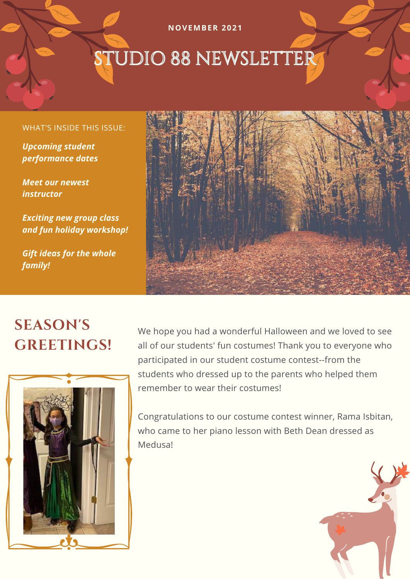# STUDIO 88 NEWSLETTER

**NOVEMBER 2021**

#### WHAT'S INSIDE THIS ISSUE:

*Upcoming student performance dates*

*Meet our newest instructor*

*Exciting new group class and fun holiday workshop!*

*Gift ideas for the whole family!*



### **SEASON'S GREETINGS!**



We hope you had a wonderful Halloween and we loved to see all of our students' fun costumes! Thank you to everyone who participated in our student costume contest--from the students who dressed up to the parents who helped them remember to wear their costumes!

Congratulations to our costume contest winner, Rama Isbitan, who came to her piano lesson with Beth Dean dressed as Medusa!

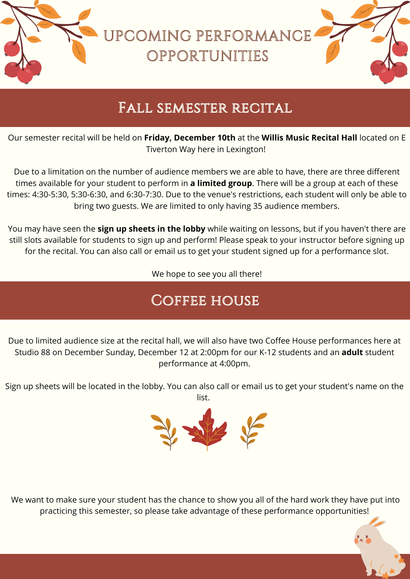UPCOMING PERFORMANCE OPPORTUNITIES

### Fall semester recital

Our semester recital will be held on **Friday, December 10th** at the **Willis Music Recital Hall** located on E Tiverton Way here in Lexington!

Due to a limitation on the number of audience members we are able to have, there are three different times available for your student to perform in **a limited group**. There will be a group at each of these times: 4:30-5:30, 5:30-6:30, and 6:30-7:30. Due to the venue's restrictions, each student will only be able to bring two guests. We are limited to only having 35 audience members.

You may have seen the **sign up sheets in the lobby** while waiting on lessons, but if you haven't there are still slots available for students to sign up and perform! Please speak to your instructor before signing up for the recital. You can also call or email us to get your student signed up for a performance slot.

We hope to see you all there!

### COFFEE HOUSE

Due to limited audience size at the recital hall, we will also have two Coffee House performances here at Studio 88 on December Sunday, December 12 at 2:00pm for our K-12 students and an **adult** student performance at 4:00pm.

Sign up sheets will be located in the lobby. You can also call or email us to get your student's name on the list.



We want to make sure your student has the chance to show you all of the hard work they have put into practicing this semester, so please take advantage of these performance opportunities!

歌と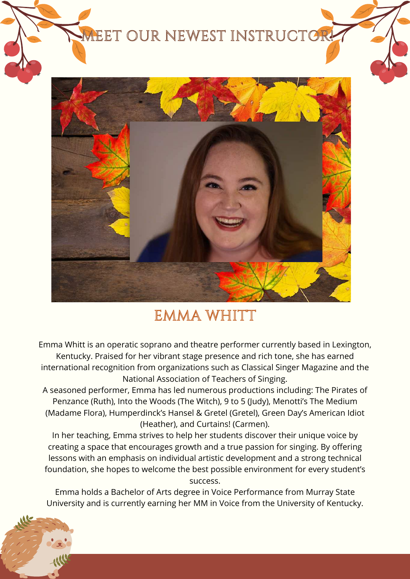### **MEET OUR NEWEST INSTRUCTOR**



### EMMA WHITT

Emma Whitt is an operatic soprano and theatre performer currently based in Lexington, Kentucky. Praised for her vibrant stage presence and rich tone, she has earned international recognition from organizations such as Classical Singer Magazine and the National Association of Teachers of Singing.

A seasoned performer, Emma has led numerous productions including: The Pirates of Penzance (Ruth), Into the Woods (The Witch), 9 to 5 (Judy), Menotti's The Medium (Madame Flora), Humperdinck's Hansel & Gretel (Gretel), Green Day's American Idiot (Heather), and Curtains! (Carmen).

In her teaching, Emma strives to help her students discover their unique voice by creating a space that encourages growth and a true passion for singing. By offering lessons with an emphasis on individual artistic development and a strong technical foundation, she hopes to welcome the best possible environment for every student's success.

Emma holds a Bachelor of Arts degree in Voice Performance from Murray State University and is currently earning her MM in Voice from the University of Kentucky.

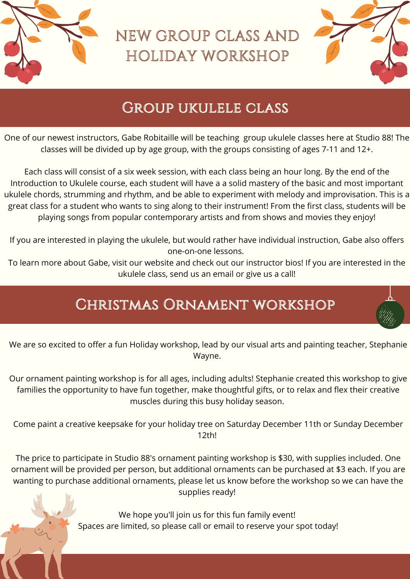

### NEW GROUP CLASS AND HOLIDAY WORKSHOP



### Group ukulele class

One of our newest instructors, Gabe Robitaille will be teaching group ukulele classes here at Studio 88! The classes will be divided up by age group, with the groups consisting of ages 7-11 and 12+.

Each class will consist of a six week session, with each class being an hour long. By the end of the Introduction to Ukulele course, each student will have a a solid mastery of the basic and most important ukulele chords, strumming and rhythm, and be able to experiment with melody and improvisation. This is a great class for a student who wants to sing along to their instrument! From the first class, students will be playing songs from popular contemporary artists and from shows and movies they enjoy!

If you are interested in playing the ukulele, but would rather have individual instruction, Gabe also offers one-on-one lessons.

To learn more about Gabe, visit our website and check out our instructor bios! If you are interested in the ukulele class, send us an email or give us a call!

### Christmas Ornament workshop



Our ornament painting workshop is for all ages, including adults! Stephanie created this workshop to give families the opportunity to have fun together, make thoughtful gifts, or to relax and flex their creative muscles during this busy holiday season.

Come paint a creative keepsake for your holiday tree on Saturday December 11th or Sunday December 12th!

The price to participate in Studio 88's ornament painting workshop is \$30, with supplies included. One ornament will be provided per person, but additional ornaments can be purchased at \$3 each. If you are wanting to purchase additional ornaments, please let us know before the workshop so we can have the supplies ready!

> We hope you'll join us for this fun family event! Spaces are limited, so please call or email to reserve your spot today!